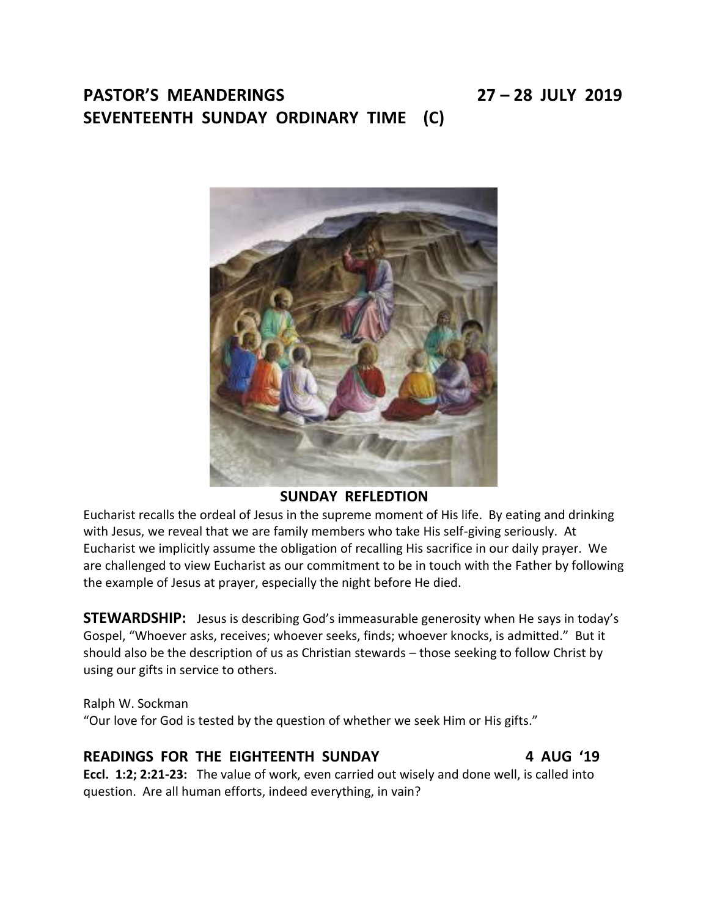# **PASTOR'S MEANDERINGS 27 – 28 JULY 2019 SEVENTEENTH SUNDAY ORDINARY TIME (C)**

## **SUNDAY REFLEDTION**

Eucharist recalls the ordeal of Jesus in the supreme moment of His life. By eating and drinking with Jesus, we reveal that we are family members who take His self-giving seriously. At Eucharist we implicitly assume the obligation of recalling His sacrifice in our daily prayer. We are challenged to view Eucharist as our commitment to be in touch with the Father by following the example of Jesus at prayer, especially the night before He died.

**STEWARDSHIP:** Jesus is describing God's immeasurable generosity when He says in today's Gospel, "Whoever asks, receives; whoever seeks, finds; whoever knocks, is admitted." But it should also be the description of us as Christian stewards – those seeking to follow Christ by using our gifts in service to others.

Ralph W. Sockman "Our love for God is tested by the question of whether we seek Him or His gifts."

## **READINGS FOR THE EIGHTEENTH SUNDAY 4 AUG '19**

**Eccl. 1:2; 2:21-23:** The value of work, even carried out wisely and done well, is called into question. Are all human efforts, indeed everything, in vain?

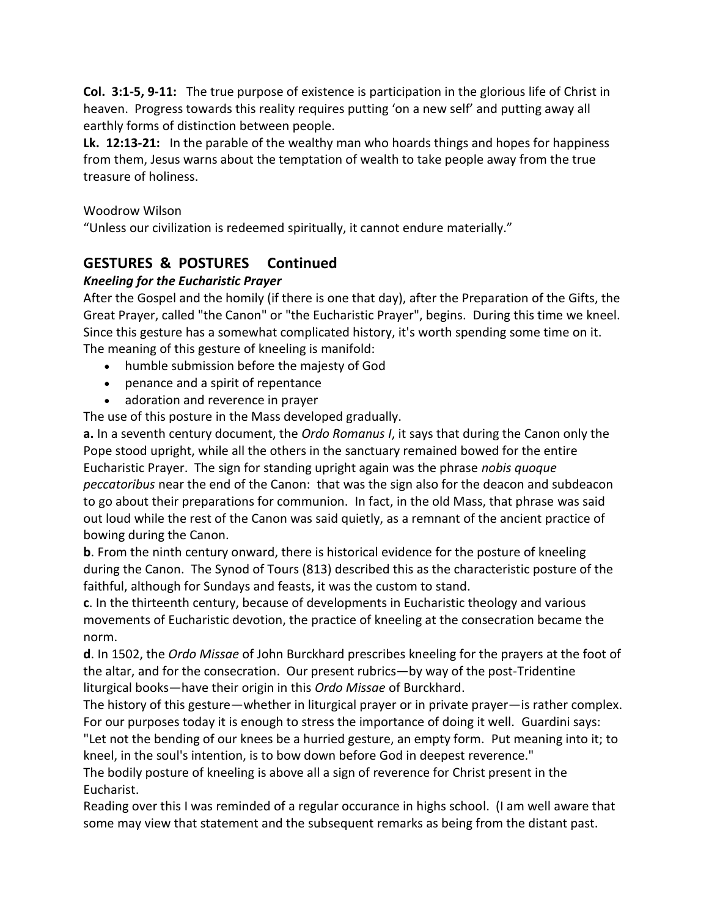**Col. 3:1-5, 9-11:** The true purpose of existence is participation in the glorious life of Christ in heaven. Progress towards this reality requires putting 'on a new self' and putting away all earthly forms of distinction between people.

**Lk. 12:13-21:** In the parable of the wealthy man who hoards things and hopes for happiness from them, Jesus warns about the temptation of wealth to take people away from the true treasure of holiness.

### Woodrow Wilson

"Unless our civilization is redeemed spiritually, it cannot endure materially."

## **GESTURES & POSTURES Continued**

### *Kneeling for the Eucharistic Prayer*

After the Gospel and the homily (if there is one that day), after the Preparation of the Gifts, the Great Prayer, called "the Canon" or "the Eucharistic Prayer", begins. During this time we kneel. Since this gesture has a somewhat complicated history, it's worth spending some time on it. The meaning of this gesture of kneeling is manifold:

- humble submission before the majesty of God
- penance and a spirit of repentance
- adoration and reverence in prayer

The use of this posture in the Mass developed gradually.

**a.** In a seventh century document, the *Ordo Romanus I*, it says that during the Canon only the Pope stood upright, while all the others in the sanctuary remained bowed for the entire Eucharistic Prayer. The sign for standing upright again was the phrase *nobis quoque peccatoribus* near the end of the Canon: that was the sign also for the deacon and subdeacon to go about their preparations for communion. In fact, in the old Mass, that phrase was said out loud while the rest of the Canon was said quietly, as a remnant of the ancient practice of bowing during the Canon.

**b**. From the ninth century onward, there is historical evidence for the posture of kneeling during the Canon. The Synod of Tours (813) described this as the characteristic posture of the faithful, although for Sundays and feasts, it was the custom to stand.

**c**. In the thirteenth century, because of developments in Eucharistic theology and various movements of Eucharistic devotion, the practice of kneeling at the consecration became the norm.

**d**. In 1502, the *Ordo Missae* of John Burckhard prescribes kneeling for the prayers at the foot of the altar, and for the consecration. Our present rubrics—by way of the post-Tridentine liturgical books—have their origin in this *Ordo Missae* of Burckhard.

The history of this gesture—whether in liturgical prayer or in private prayer—is rather complex. For our purposes today it is enough to stress the importance of doing it well. Guardini says: "Let not the bending of our knees be a hurried gesture, an empty form. Put meaning into it; to kneel, in the soul's intention, is to bow down before God in deepest reverence."

The bodily posture of kneeling is above all a sign of reverence for Christ present in the Eucharist.

Reading over this I was reminded of a regular occurance in highs school. (I am well aware that some may view that statement and the subsequent remarks as being from the distant past.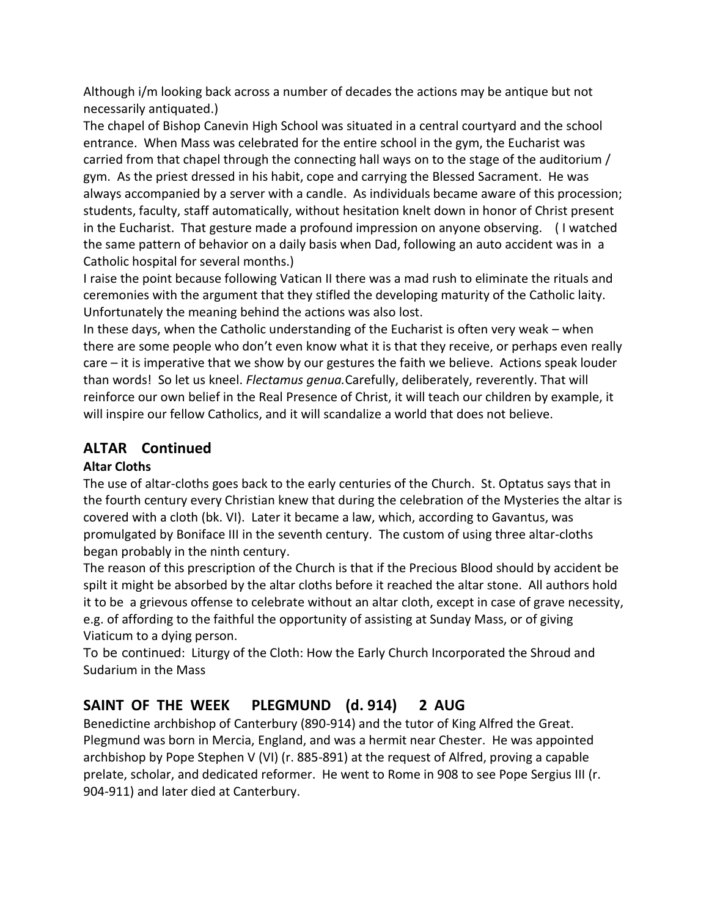Although i/m looking back across a number of decades the actions may be antique but not necessarily antiquated.)

The chapel of Bishop Canevin High School was situated in a central courtyard and the school entrance. When Mass was celebrated for the entire school in the gym, the Eucharist was carried from that chapel through the connecting hall ways on to the stage of the auditorium / gym. As the priest dressed in his habit, cope and carrying the Blessed Sacrament. He was always accompanied by a server with a candle. As individuals became aware of this procession; students, faculty, staff automatically, without hesitation knelt down in honor of Christ present in the Eucharist. That gesture made a profound impression on anyone observing. ( I watched the same pattern of behavior on a daily basis when Dad, following an auto accident was in a Catholic hospital for several months.)

I raise the point because following Vatican II there was a mad rush to eliminate the rituals and ceremonies with the argument that they stifled the developing maturity of the Catholic laity. Unfortunately the meaning behind the actions was also lost.

In these days, when the Catholic understanding of the Eucharist is often very weak – when there are some people who don't even know what it is that they receive, or perhaps even really care – it is imperative that we show by our gestures the faith we believe. Actions speak louder than words! So let us kneel. *Flectamus genua.*Carefully, deliberately, reverently. That will reinforce our own belief in the Real Presence of Christ, it will teach our children by example, it will inspire our fellow Catholics, and it will scandalize a world that does not believe.

## **ALTAR Continued**

## **Altar Cloths**

The use of altar-cloths goes back to the early centuries of the Church. St. Optatus says that in the fourth century every Christian knew that during the celebration of the Mysteries the altar is covered with a cloth (bk. VI). Later it became a law, which, according to Gavantus, was promulgated by Boniface III in the seventh century. The custom of using three altar-cloths began probably in the ninth century.

The reason of this prescription of the Church is that if the Precious Blood should by accident be spilt it might be absorbed by the altar cloths before it reached the altar stone. All authors hold it to be a grievous offense to celebrate without an altar cloth, except in case of grave necessity, e.g. of affording to the faithful the opportunity of assisting at Sunday Mass, or of giving Viaticum to a dying person.

To be continued: Liturgy of the Cloth: How the Early Church Incorporated the Shroud and Sudarium in the Mass

# **SAINT OF THE WEEK PLEGMUND (d. 914) 2 AUG**

Benedictine archbishop of Canterbury (890-914) and the tutor of King Alfred the Great. Plegmund was born in Mercia, England, and was a hermit near Chester. He was appointed archbishop by Pope Stephen V (VI) (r. 885-891) at the request of Alfred, proving a capable prelate, scholar, and dedicated reformer. He went to Rome in 908 to see Pope Sergius III (r. 904-911) and later died at Canterbury.